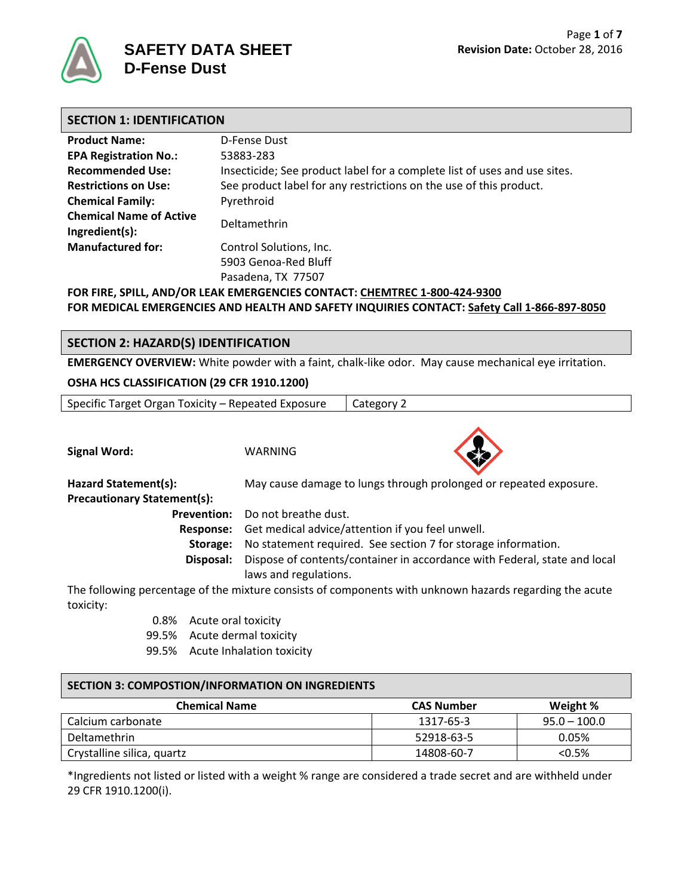

| <b>SECTION 1: IDENTIFICATION</b>                 |                                                                           |  |  |
|--------------------------------------------------|---------------------------------------------------------------------------|--|--|
| <b>Product Name:</b>                             | D-Fense Dust                                                              |  |  |
| <b>EPA Registration No.:</b>                     | 53883-283                                                                 |  |  |
| <b>Recommended Use:</b>                          | Insecticide; See product label for a complete list of uses and use sites. |  |  |
| <b>Restrictions on Use:</b>                      | See product label for any restrictions on the use of this product.        |  |  |
| <b>Chemical Family:</b>                          | Pyrethroid                                                                |  |  |
| <b>Chemical Name of Active</b><br>Ingredient(s): | Deltamethrin                                                              |  |  |
| <b>Manufactured for:</b>                         | Control Solutions, Inc.                                                   |  |  |
|                                                  | 5903 Genoa-Red Bluff<br>Pasadena, TX 77507                                |  |  |

**FOR FIRE, SPILL, AND/OR LEAK EMERGENCIES CONTACT: CHEMTREC 1-800-424-9300 FOR MEDICAL EMERGENCIES AND HEALTH AND SAFETY INQUIRIES CONTACT: Safety Call 1-866-897-8050**

# **SECTION 2: HAZARD(S) IDENTIFICATION**

**EMERGENCY OVERVIEW:** White powder with a faint, chalk-like odor. May cause mechanical eye irritation.

#### **OSHA HCS CLASSIFICATION (29 CFR 1910.1200)**

| Specific Target Organ Toxicity – Repeated Exposure<br>Category 2 |  |
|------------------------------------------------------------------|--|
|------------------------------------------------------------------|--|





**Hazard Statement(s):** May cause damage to lungs through prolonged or repeated exposure. **Precautionary Statement(s):**

**Prevention:** Do not breathe dust.

**Response:** Get medical advice/attention if you feel unwell.

**Storage:** No statement required. See section 7 for storage information.

**Disposal:** Dispose of contents/container in accordance with Federal, state and local laws and regulations.

The following percentage of the mixture consists of components with unknown hazards regarding the acute toxicity:

- 0.8% Acute oral toxicity
- 99.5% Acute dermal toxicity
- 99.5% Acute Inhalation toxicity

#### **SECTION 3: COMPOSTION/INFORMATION ON INGREDIENTS**

| <b>Chemical Name</b>       | <b>CAS Number</b> | Weight %       |
|----------------------------|-------------------|----------------|
| Calcium carbonate          | 1317-65-3         | $95.0 - 100.0$ |
| Deltamethrin               | 52918-63-5        | 0.05%          |
| Crystalline silica, quartz | 14808-60-7        | $<$ 0.5%       |

\*Ingredients not listed or listed with a weight % range are considered a trade secret and are withheld under 29 CFR 1910.1200(i).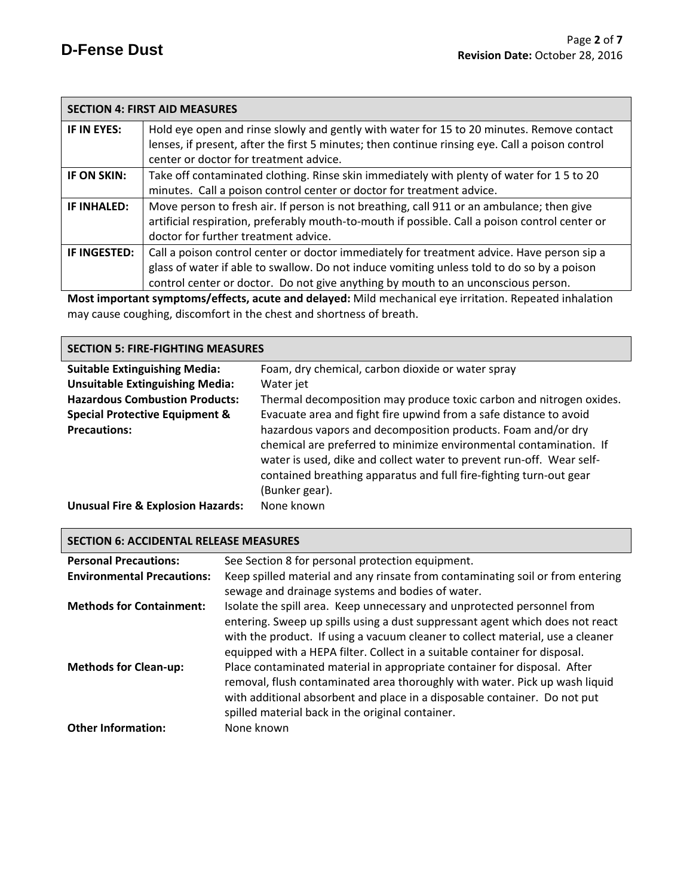| <b>SECTION 4: FIRST AID MEASURES</b>                                                                    |                                                                                                 |  |
|---------------------------------------------------------------------------------------------------------|-------------------------------------------------------------------------------------------------|--|
| IF IN EYES:                                                                                             | Hold eye open and rinse slowly and gently with water for 15 to 20 minutes. Remove contact       |  |
|                                                                                                         | lenses, if present, after the first 5 minutes; then continue rinsing eye. Call a poison control |  |
|                                                                                                         | center or doctor for treatment advice.                                                          |  |
| IF ON SKIN:                                                                                             | Take off contaminated clothing. Rinse skin immediately with plenty of water for 15 to 20        |  |
|                                                                                                         | minutes. Call a poison control center or doctor for treatment advice.                           |  |
| IF INHALED:                                                                                             | Move person to fresh air. If person is not breathing, call 911 or an ambulance; then give       |  |
|                                                                                                         | artificial respiration, preferably mouth-to-mouth if possible. Call a poison control center or  |  |
|                                                                                                         | doctor for further treatment advice.                                                            |  |
| IF INGESTED:                                                                                            | Call a poison control center or doctor immediately for treatment advice. Have person sip a      |  |
|                                                                                                         | glass of water if able to swallow. Do not induce vomiting unless told to do so by a poison      |  |
|                                                                                                         | control center or doctor. Do not give anything by mouth to an unconscious person.               |  |
| Most important symptoms/offects, asyte and delayed: Mild mechanical eve irritation. Peneated inhalation |                                                                                                 |  |

**Most important symptoms/effects, acute and delayed:** Mild mechanical eye irritation. Repeated inhalation may cause coughing, discomfort in the chest and shortness of breath.

## **SECTION 5: FIRE-FIGHTING MEASURES**

| <b>Suitable Extinguishing Media:</b>         | Foam, dry chemical, carbon dioxide or water spray                    |  |  |
|----------------------------------------------|----------------------------------------------------------------------|--|--|
| <b>Unsuitable Extinguishing Media:</b>       | Water jet                                                            |  |  |
| <b>Hazardous Combustion Products:</b>        | Thermal decomposition may produce toxic carbon and nitrogen oxides.  |  |  |
| <b>Special Protective Equipment &amp;</b>    | Evacuate area and fight fire upwind from a safe distance to avoid    |  |  |
| <b>Precautions:</b>                          | hazardous vapors and decomposition products. Foam and/or dry         |  |  |
|                                              | chemical are preferred to minimize environmental contamination. If   |  |  |
|                                              | water is used, dike and collect water to prevent run-off. Wear self- |  |  |
|                                              | contained breathing apparatus and full fire-fighting turn-out gear   |  |  |
|                                              | (Bunker gear).                                                       |  |  |
| <b>Unusual Fire &amp; Explosion Hazards:</b> | None known                                                           |  |  |

| <b>SECTION 6: ACCIDENTAL RELEASE MEASURES</b> |                                                                                                                                                                                                                                                                                                                          |  |  |
|-----------------------------------------------|--------------------------------------------------------------------------------------------------------------------------------------------------------------------------------------------------------------------------------------------------------------------------------------------------------------------------|--|--|
| <b>Personal Precautions:</b>                  | See Section 8 for personal protection equipment.                                                                                                                                                                                                                                                                         |  |  |
| <b>Environmental Precautions:</b>             | Keep spilled material and any rinsate from contaminating soil or from entering<br>sewage and drainage systems and bodies of water.                                                                                                                                                                                       |  |  |
| <b>Methods for Containment:</b>               | Isolate the spill area. Keep unnecessary and unprotected personnel from<br>entering. Sweep up spills using a dust suppressant agent which does not react<br>with the product. If using a vacuum cleaner to collect material, use a cleaner<br>equipped with a HEPA filter. Collect in a suitable container for disposal. |  |  |
| <b>Methods for Clean-up:</b>                  | Place contaminated material in appropriate container for disposal. After<br>removal, flush contaminated area thoroughly with water. Pick up wash liquid<br>with additional absorbent and place in a disposable container. Do not put<br>spilled material back in the original container.                                 |  |  |
| <b>Other Information:</b>                     | None known                                                                                                                                                                                                                                                                                                               |  |  |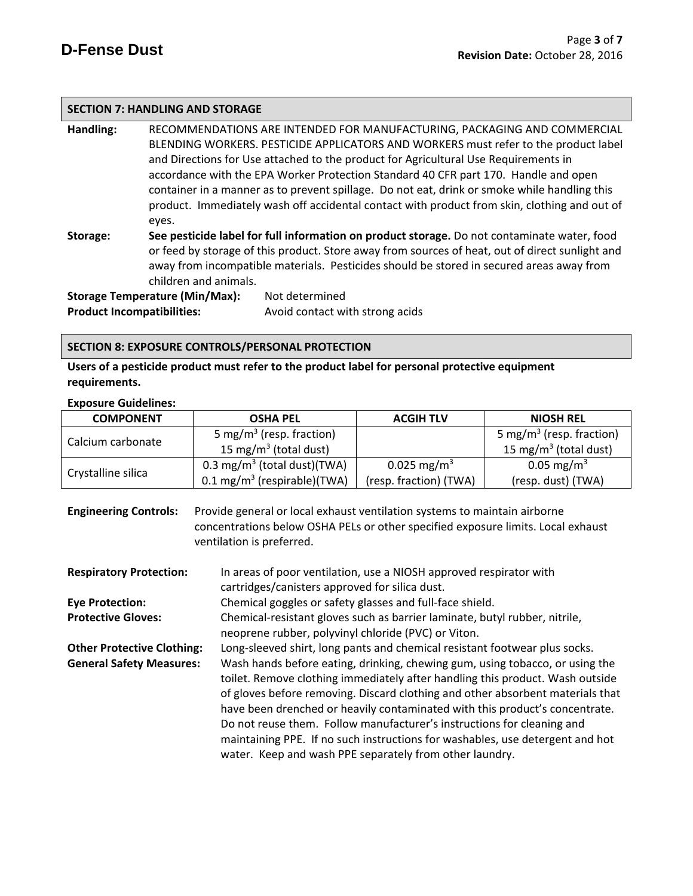### **SECTION 7: HANDLING AND STORAGE**

**Handling:** RECOMMENDATIONS ARE INTENDED FOR MANUFACTURING, PACKAGING AND COMMERCIAL BLENDING WORKERS. PESTICIDE APPLICATORS AND WORKERS must refer to the product label and Directions for Use attached to the product for Agricultural Use Requirements in accordance with the EPA Worker Protection Standard 40 CFR part 170.Handle and open container in a manner as to prevent spillage. Do not eat, drink or smoke while handling this product. Immediately wash off accidental contact with product from skin, clothing and out of eyes.

**Storage: See pesticide label for full information on product storage.** Do not contaminate water, food or feed by storage of this product. Store away from sources of heat, out of direct sunlight and away from incompatible materials. Pesticides should be stored in secured areas away from children and animals.

**Storage Temperature (Min/Max):** Not determined **Product Incompatibilities:** Avoid contact with strong acids

#### **SECTION 8: EXPOSURE CONTROLS/PERSONAL PROTECTION**

**Users of a pesticide product must refer to the product label for personal protective equipment requirements.**

#### **Exposure Guidelines:**

| <b>COMPONENT</b><br><b>OSHA PEL</b> |                                         | <b>ACGIH TLV</b>        | <b>NIOSH REL</b>                     |
|-------------------------------------|-----------------------------------------|-------------------------|--------------------------------------|
| Calcium carbonate                   | 5 mg/m <sup>3</sup> (resp. fraction)    |                         | 5 mg/m <sup>3</sup> (resp. fraction) |
|                                     | 15 mg/m <sup>3</sup> (total dust)       |                         | 15 mg/m <sup>3</sup> (total dust)    |
|                                     | 0.3 mg/m <sup>3</sup> (total dust)(TWA) | 0.025 mg/m <sup>3</sup> | 0.05 mg/m <sup>3</sup>               |
| Crystalline silica                  | $0.1 \text{ mg/m}^3$ (respirable)(TWA)  | (resp. fraction) (TWA)  | (resp. dust) (TWA)                   |

**Engineering Controls:** Provide general or local exhaust ventilation systems to maintain airborne concentrations below OSHA PELs or other specified exposure limits. Local exhaust ventilation is preferred.

| <b>Respiratory Protection:</b>    | In areas of poor ventilation, use a NIOSH approved respirator with             |  |  |
|-----------------------------------|--------------------------------------------------------------------------------|--|--|
|                                   | cartridges/canisters approved for silica dust.                                 |  |  |
| <b>Eye Protection:</b>            | Chemical goggles or safety glasses and full-face shield.                       |  |  |
| <b>Protective Gloves:</b>         | Chemical-resistant gloves such as barrier laminate, butyl rubber, nitrile,     |  |  |
|                                   | neoprene rubber, polyvinyl chloride (PVC) or Viton.                            |  |  |
| <b>Other Protective Clothing:</b> | Long-sleeved shirt, long pants and chemical resistant footwear plus socks.     |  |  |
| <b>General Safety Measures:</b>   | Wash hands before eating, drinking, chewing gum, using tobacco, or using the   |  |  |
|                                   | toilet. Remove clothing immediately after handling this product. Wash outside  |  |  |
|                                   | of gloves before removing. Discard clothing and other absorbent materials that |  |  |
|                                   | have been drenched or heavily contaminated with this product's concentrate.    |  |  |
|                                   | Do not reuse them. Follow manufacturer's instructions for cleaning and         |  |  |
|                                   | maintaining PPE. If no such instructions for washables, use detergent and hot  |  |  |
|                                   | water. Keep and wash PPE separately from other laundry.                        |  |  |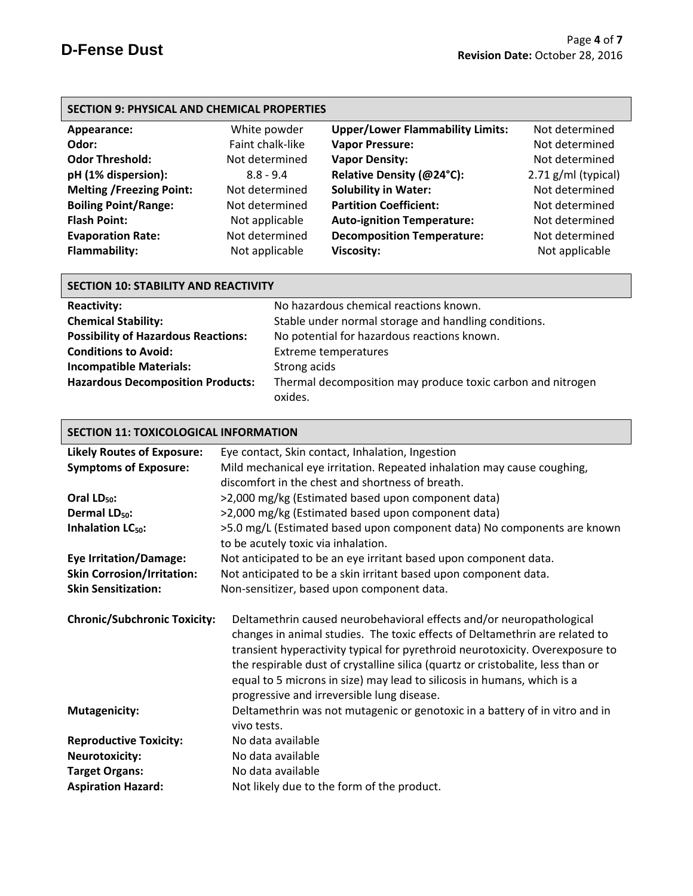| Appearance:                     | White powder     | <b>Upper/Lower Flammability Limits:</b> | Not determined      |
|---------------------------------|------------------|-----------------------------------------|---------------------|
|                                 |                  |                                         |                     |
| Odor:                           | Faint chalk-like | <b>Vapor Pressure:</b>                  | Not determined      |
| <b>Odor Threshold:</b>          | Not determined   | <b>Vapor Density:</b>                   | Not determined      |
| pH (1% dispersion):             | $8.8 - 9.4$      | Relative Density (@24°C):               | 2.71 g/ml (typical) |
| <b>Melting /Freezing Point:</b> | Not determined   | <b>Solubility in Water:</b>             | Not determined      |
| <b>Boiling Point/Range:</b>     | Not determined   | <b>Partition Coefficient:</b>           | Not determined      |
| <b>Flash Point:</b>             | Not applicable   | <b>Auto-ignition Temperature:</b>       | Not determined      |
| <b>Evaporation Rate:</b>        | Not determined   | <b>Decomposition Temperature:</b>       | Not determined      |
| <b>Flammability:</b>            | Not applicable   | Viscosity:                              | Not applicable      |
|                                 |                  |                                         |                     |

| <b>Reactivity:</b>                         | No hazardous chemical reactions known.                      |
|--------------------------------------------|-------------------------------------------------------------|
| <b>Chemical Stability:</b>                 | Stable under normal storage and handling conditions.        |
| <b>Possibility of Hazardous Reactions:</b> | No potential for hazardous reactions known.                 |
| <b>Conditions to Avoid:</b>                | <b>Extreme temperatures</b>                                 |
| <b>Incompatible Materials:</b>             | Strong acids                                                |
| <b>Hazardous Decomposition Products:</b>   | Thermal decomposition may produce toxic carbon and nitrogen |
|                                            | oxides.                                                     |

# **SECTION 11: TOXICOLOGICAL INFORMATION**

| <b>Likely Routes of Exposure:</b>   | Eye contact, Skin contact, Inhalation, Ingestion                                                                                                                                                                                                                                                                                                                                                                                                 |
|-------------------------------------|--------------------------------------------------------------------------------------------------------------------------------------------------------------------------------------------------------------------------------------------------------------------------------------------------------------------------------------------------------------------------------------------------------------------------------------------------|
| <b>Symptoms of Exposure:</b>        | Mild mechanical eye irritation. Repeated inhalation may cause coughing,                                                                                                                                                                                                                                                                                                                                                                          |
|                                     | discomfort in the chest and shortness of breath.                                                                                                                                                                                                                                                                                                                                                                                                 |
| Oral LD <sub>50</sub> :             | >2,000 mg/kg (Estimated based upon component data)                                                                                                                                                                                                                                                                                                                                                                                               |
| Dermal LD <sub>50</sub> :           | >2,000 mg/kg (Estimated based upon component data)                                                                                                                                                                                                                                                                                                                                                                                               |
| Inhalation LC <sub>50</sub> :       | >5.0 mg/L (Estimated based upon component data) No components are known                                                                                                                                                                                                                                                                                                                                                                          |
|                                     | to be acutely toxic via inhalation.                                                                                                                                                                                                                                                                                                                                                                                                              |
| <b>Eye Irritation/Damage:</b>       | Not anticipated to be an eye irritant based upon component data.                                                                                                                                                                                                                                                                                                                                                                                 |
| <b>Skin Corrosion/Irritation:</b>   | Not anticipated to be a skin irritant based upon component data.                                                                                                                                                                                                                                                                                                                                                                                 |
| <b>Skin Sensitization:</b>          | Non-sensitizer, based upon component data.                                                                                                                                                                                                                                                                                                                                                                                                       |
|                                     |                                                                                                                                                                                                                                                                                                                                                                                                                                                  |
| <b>Chronic/Subchronic Toxicity:</b> | Deltamethrin caused neurobehavioral effects and/or neuropathological<br>changes in animal studies. The toxic effects of Deltamethrin are related to<br>transient hyperactivity typical for pyrethroid neurotoxicity. Overexposure to<br>the respirable dust of crystalline silica (quartz or cristobalite, less than or<br>equal to 5 microns in size) may lead to silicosis in humans, which is a<br>progressive and irreversible lung disease. |
| <b>Mutagenicity:</b>                | Deltamethrin was not mutagenic or genotoxic in a battery of in vitro and in<br>vivo tests.                                                                                                                                                                                                                                                                                                                                                       |
| <b>Reproductive Toxicity:</b>       | No data available                                                                                                                                                                                                                                                                                                                                                                                                                                |
| <b>Neurotoxicity:</b>               | No data available                                                                                                                                                                                                                                                                                                                                                                                                                                |
| <b>Target Organs:</b>               | No data available                                                                                                                                                                                                                                                                                                                                                                                                                                |
| <b>Aspiration Hazard:</b>           | Not likely due to the form of the product.                                                                                                                                                                                                                                                                                                                                                                                                       |
|                                     |                                                                                                                                                                                                                                                                                                                                                                                                                                                  |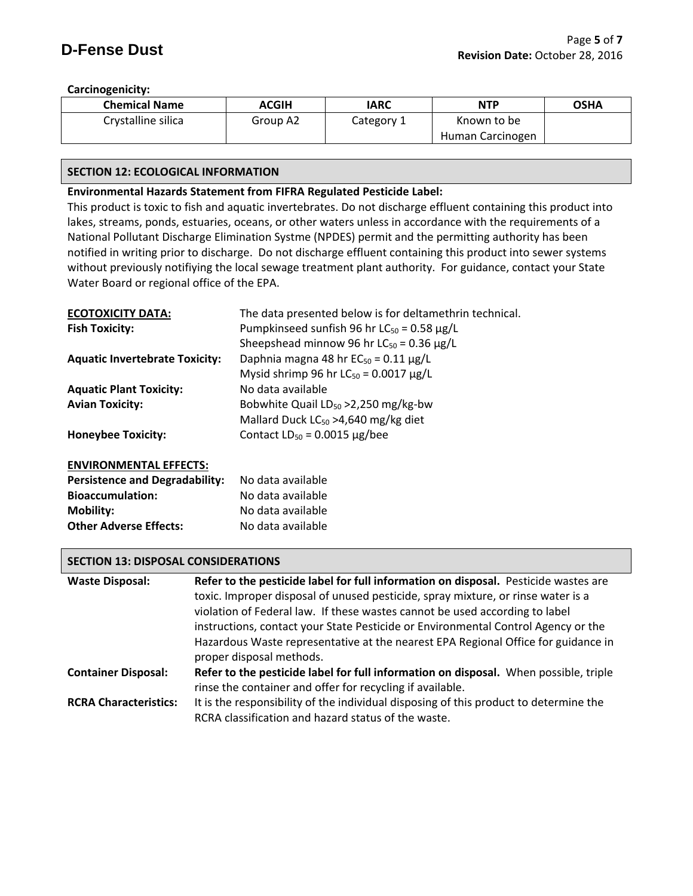## **Carcinogenicity:**

| <b>Chemical Name</b> | <b>ACGIH</b> | IARC       | <b>NTP</b>       | <b>OSHA</b> |
|----------------------|--------------|------------|------------------|-------------|
| Crystalline silica   | Group A2     | Category 1 | Known to be      |             |
|                      |              |            | Human Carcinogen |             |

## **SECTION 12: ECOLOGICAL INFORMATION**

## **Environmental Hazards Statement from FIFRA Regulated Pesticide Label:**

This product is toxic to fish and aquatic invertebrates. Do not discharge effluent containing this product into lakes, streams, ponds, estuaries, oceans, or other waters unless in accordance with the requirements of a National Pollutant Discharge Elimination Systme (NPDES) permit and the permitting authority has been notified in writing prior to discharge. Do not discharge effluent containing this product into sewer systems without previously notifiying the local sewage treatment plant authority. For guidance, contact your State Water Board or regional office of the EPA.

| <b>ECOTOXICITY DATA:</b>              | The data presented below is for deltamethrin technical. |
|---------------------------------------|---------------------------------------------------------|
| <b>Fish Toxicity:</b>                 | Pumpkinseed sunfish 96 hr $LC_{50} = 0.58 \mu g/L$      |
|                                       | Sheepshead minnow 96 hr $LC_{50} = 0.36 \mu g/L$        |
| <b>Aquatic Invertebrate Toxicity:</b> | Daphnia magna 48 hr $EC_{50} = 0.11 \mu g/L$            |
|                                       | Mysid shrimp 96 hr $LC_{50} = 0.0017 \mu g/L$           |
| <b>Aquatic Plant Toxicity:</b>        | No data available                                       |
| <b>Avian Toxicity:</b>                | Bobwhite Quail LD <sub>50</sub> > 2,250 mg/kg-bw        |
|                                       | Mallard Duck $LC_{50} > 4,640$ mg/kg diet               |
| <b>Honeybee Toxicity:</b>             | Contact $LD_{50} = 0.0015 \mu g/$ bee                   |
|                                       |                                                         |

## **ENVIRONMENTAL EFFECTS:**

| <b>Persistence and Degradability:</b> | No data available |
|---------------------------------------|-------------------|
| <b>Bioaccumulation:</b>               | No data available |
| Mobility:                             | No data available |
| <b>Other Adverse Effects:</b>         | No data available |

## **SECTION 13: DISPOSAL CONSIDERATIONS**

| <b>Waste Disposal:</b>       | Refer to the pesticide label for full information on disposal. Pesticide wastes are   |
|------------------------------|---------------------------------------------------------------------------------------|
|                              | toxic. Improper disposal of unused pesticide, spray mixture, or rinse water is a      |
|                              | violation of Federal law. If these wastes cannot be used according to label           |
|                              | instructions, contact your State Pesticide or Environmental Control Agency or the     |
|                              | Hazardous Waste representative at the nearest EPA Regional Office for guidance in     |
|                              | proper disposal methods.                                                              |
| <b>Container Disposal:</b>   | Refer to the pesticide label for full information on disposal. When possible, triple  |
|                              | rinse the container and offer for recycling if available.                             |
| <b>RCRA Characteristics:</b> | It is the responsibility of the individual disposing of this product to determine the |
|                              | RCRA classification and hazard status of the waste.                                   |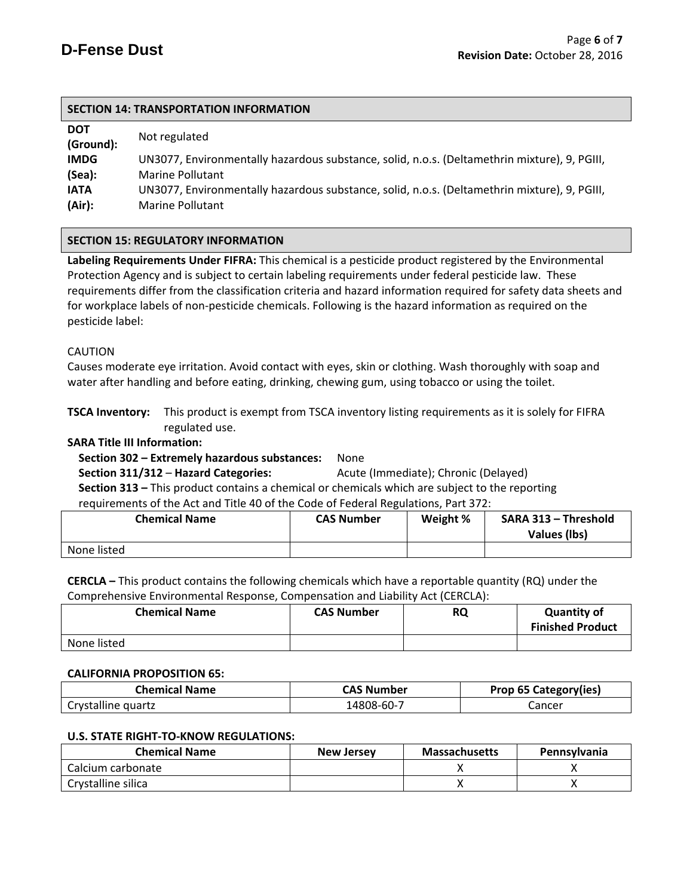| <b>DOT</b><br>(Ground): | Not regulated                                                                                |
|-------------------------|----------------------------------------------------------------------------------------------|
| <b>IMDG</b>             | UN3077, Environmentally hazardous substance, solid, n.o.s. (Deltamethrin mixture), 9, PGIII, |
| (Sea):                  | <b>Marine Pollutant</b>                                                                      |
| <b>IATA</b>             | UN3077, Environmentally hazardous substance, solid, n.o.s. (Deltamethrin mixture), 9, PGIII, |
| (Air):                  | <b>Marine Pollutant</b>                                                                      |

## **SECTION 15: REGULATORY INFORMATION**

**Labeling Requirements Under FIFRA:** This chemical is a pesticide product registered by the Environmental Protection Agency and is subject to certain labeling requirements under federal pesticide law. These requirements differ from the classification criteria and hazard information required for safety data sheets and for workplace labels of non-pesticide chemicals. Following is the hazard information as required on the pesticide label:

#### CAUTION

Causes moderate eye irritation. Avoid contact with eyes, skin or clothing. Wash thoroughly with soap and water after handling and before eating, drinking, chewing gum, using tobacco or using the toilet.

**TSCA Inventory:** This product is exempt from TSCA inventory listing requirements as it is solely for FIFRA regulated use.

#### **SARA Title III Information:**

# **Section 302 – Extremely hazardous substances:** None

 **Section 311/312** – **Hazard Categories:** Acute (Immediate); Chronic (Delayed)

 **Section 313 –** This product contains a chemical or chemicals which are subject to the reporting requirements of the Act and Title 40 of the Code of Federal Regulations, Part 372:

| <b>Chemical Name</b> | <b>CAS Number</b> | Weight % | SARA 313 - Threshold<br>Values (lbs) |
|----------------------|-------------------|----------|--------------------------------------|
| None listed          |                   |          |                                      |

**CERCLA –** This product contains the following chemicals which have a reportable quantity (RQ) under the Comprehensive Environmental Response, Compensation and Liability Act (CERCLA):

| <b>Chemical Name</b> | <b>CAS Number</b> | <b>RQ</b> | <b>Quantity of</b><br><b>Finished Product</b> |
|----------------------|-------------------|-----------|-----------------------------------------------|
| None listed          |                   |           |                                               |

#### **CALIFORNIA PROPOSITION 65:**

| <b>Chemical Name</b> | CAS Number | <b>Prop 65 Category(ies)</b> |
|----------------------|------------|------------------------------|
| Crystalline quartz   | 14808-60-7 | Lancer                       |

#### **U.S. STATE RIGHT-TO-KNOW REGULATIONS:**

| <b>Chemical Name</b> | <b>New Jersey</b> | <b>Massachusetts</b> | <b>Pennsylvania</b> |
|----------------------|-------------------|----------------------|---------------------|
| Calcium carbonate    |                   |                      |                     |
| Crystalline silica   |                   |                      |                     |